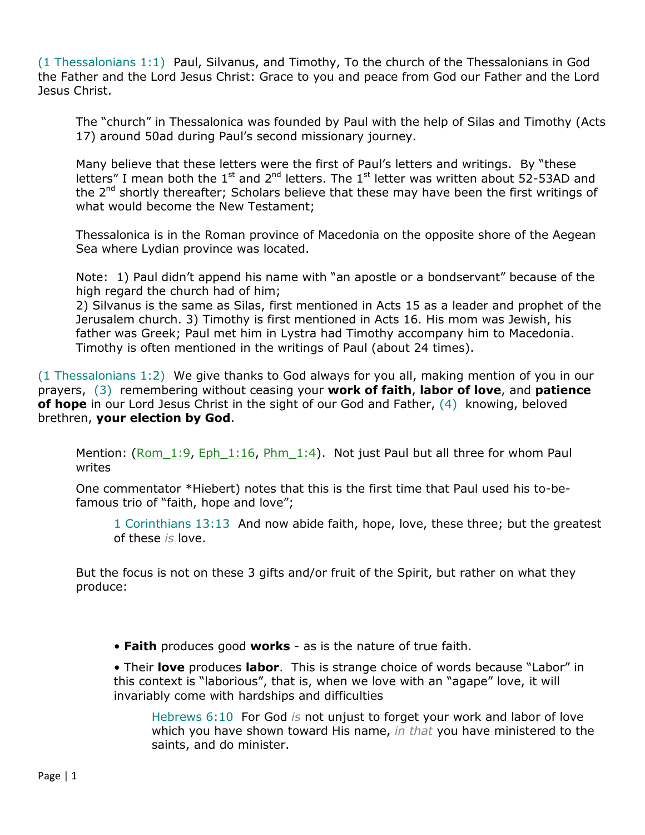(1 Thessalonians 1:1) Paul, Silvanus, and Timothy, To the church of the Thessalonians in God the Father and the Lord Jesus Christ: Grace to you and peace from God our Father and the Lord Jesus Christ.

The "church" in Thessalonica was founded by Paul with the help of Silas and Timothy (Acts 17) around 50ad during Paul's second missionary journey.

Many believe that these letters were the first of Paul's letters and writings. By "these letters" I mean both the  $1<sup>st</sup>$  and  $2<sup>nd</sup>$  letters. The  $1<sup>st</sup>$  letter was written about 52-53AD and the 2<sup>nd</sup> shortly thereafter; Scholars believe that these may have been the first writings of what would become the New Testament;

Thessalonica is in the Roman province of Macedonia on the opposite shore of the Aegean Sea where Lydian province was located.

Note: 1) Paul didn't append his name with "an apostle or a bondservant" because of the high regard the church had of him;

2) Silvanus is the same as Silas, first mentioned in Acts 15 as a leader and prophet of the Jerusalem church. 3) Timothy is first mentioned in Acts 16. His mom was Jewish, his father was Greek; Paul met him in Lystra had Timothy accompany him to Macedonia. Timothy is often mentioned in the writings of Paul (about 24 times).

(1 Thessalonians 1:2) We give thanks to God always for you all, making mention of you in our prayers, (3) remembering without ceasing your **work of faith**, **labor of love**, and **patience of hope** in our Lord Jesus Christ in the sight of our God and Father, (4) knowing, beloved brethren, **your election by God**.

Mention: (Rom  $1:9$ , Eph  $1:16$ , Phm  $1:4$ ). Not just Paul but all three for whom Paul writes

One commentator \*Hiebert) notes that this is the first time that Paul used his to-befamous trio of "faith, hope and love";

1 Corinthians 13:13 And now abide faith, hope, love, these three; but the greatest of these *is* love.

But the focus is not on these 3 gifts and/or fruit of the Spirit, but rather on what they produce:

• **Faith** produces good **works** - as is the nature of true faith.

• Their **love** produces **labor**. This is strange choice of words because "Labor" in this context is "laborious", that is, when we love with an "agape" love, it will invariably come with hardships and difficulties

Hebrews 6:10 For God *is* not unjust to forget your work and labor of love which you have shown toward His name, *in that* you have ministered to the saints, and do minister.